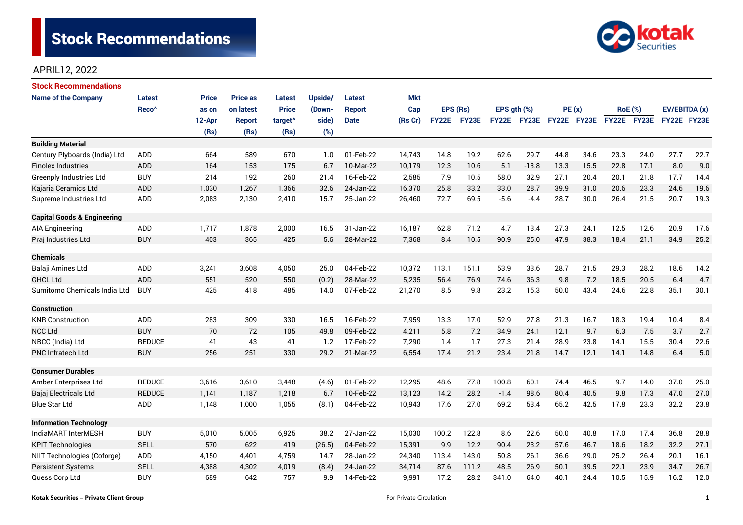

### APRIL12, 2022

| <b>Stock Recommendations</b>           |                   |              |                 |                     |         |               |            |              |       |                  |                    |             |      |                |                      |               |      |
|----------------------------------------|-------------------|--------------|-----------------|---------------------|---------|---------------|------------|--------------|-------|------------------|--------------------|-------------|------|----------------|----------------------|---------------|------|
| <b>Name of the Company</b>             | Latest            | <b>Price</b> | <b>Price as</b> | <b>Latest</b>       | Upside/ | <b>Latest</b> | <b>Mkt</b> |              |       |                  |                    |             |      |                |                      |               |      |
|                                        | Reco <sup>^</sup> | as on        | on latest       | <b>Price</b>        | (Down-  | <b>Report</b> | Cap        | EPS (Rs)     |       | EPS $qth$ $(\%)$ |                    | PE(x)       |      | <b>RoE</b> (%) |                      | EV/EBITDA (x) |      |
|                                        |                   | 12-Apr       | <b>Report</b>   | target <sup>^</sup> | side)   | <b>Date</b>   | (Rs Cr)    | <b>FY22E</b> | FY23E |                  | <b>FY22E FY23E</b> | FY22E FY23E |      | FY22E FY23E    |                      | FY22E FY23E   |      |
|                                        |                   | (Rs)         | (Rs)            | (Rs)                | (%)     |               |            |              |       |                  |                    |             |      |                |                      |               |      |
| <b>Building Material</b>               |                   |              |                 |                     |         |               |            |              |       |                  |                    |             |      |                |                      |               |      |
| Century Plyboards (India) Ltd          | <b>ADD</b>        | 664          | 589             | 670                 | 1.0     | 01-Feb-22     | 14,743     | 14.8         | 19.2  | 62.6             | 29.7               | 44.8        | 34.6 | 23.3           | 24.0                 | 27.7          | 22.7 |
| <b>Finolex Industries</b>              | ADD               | 164          | 153             | 175                 | 6.7     | 10-Mar-22     | 10,179     | 12.3         | 10.6  | 5.1              | $-13.8$            | 13.3        | 15.5 | 22.8           | 17.1                 | 8.0           | 9.0  |
| <b>Greenply Industries Ltd</b>         | <b>BUY</b>        | 214          | 192             | 260                 | 21.4    | 16-Feb-22     | 2,585      | 7.9          | 10.5  | 58.0             | 32.9               | 27.1        | 20.4 | 20.1           | 21.8                 | 17.7          | 14.4 |
| Kajaria Ceramics Ltd                   | <b>ADD</b>        | 1,030        | 1,267           | 1,366               | 32.6    | 24-Jan-22     | 16,370     | 25.8         | 33.2  | 33.0             | 28.7               | 39.9        | 31.0 | 20.6           | 23.3                 | 24.6          | 19.6 |
| Supreme Industries Ltd                 | ADD               | 2,083        | 2,130           | 2,410               | 15.7    | 25-Jan-22     | 26,460     | 72.7         | 69.5  | $-5.6$           | $-4.4$             | 28.7        | 30.0 | 26.4           | 21.5                 | 20.7          | 19.3 |
| <b>Capital Goods &amp; Engineering</b> |                   |              |                 |                     |         |               |            |              |       |                  |                    |             |      |                |                      |               |      |
| <b>AIA Engineering</b>                 | ADD               | 1,717        | 1,878           | 2,000               | 16.5    | 31-Jan-22     | 16,187     | 62.8         | 71.2  | 4.7              | 13.4               | 27.3        | 24.1 | 12.5           | 12.6                 | 20.9          | 17.6 |
| Praj Industries Ltd                    | <b>BUY</b>        | 403          | 365             | 425                 | 5.6     | 28-Mar-22     | 7,368      | 8.4          | 10.5  | 90.9             | 25.0               | 47.9        | 38.3 | 18.4           | 21.1                 | 34.9          | 25.2 |
| <b>Chemicals</b>                       |                   |              |                 |                     |         |               |            |              |       |                  |                    |             |      |                |                      |               |      |
| Balaji Amines Ltd                      | ADD               | 3,241        | 3,608           | 4,050               | 25.0    | 04-Feb-22     | 10,372     | 113.1        | 151.1 | 53.9             | 33.6               | 28.7        | 21.5 | 29.3           | 28.2                 | 18.6          | 14.2 |
| <b>GHCL Ltd</b>                        | <b>ADD</b>        | 551          | 520             | 550                 | (0.2)   | 28-Mar-22     | 5,235      | 56.4         | 76.9  | 74.6             | 36.3               | 9.8         | 7.2  | 18.5           | 20.5                 | 6.4           | 4.7  |
| Sumitomo Chemicals India Ltd           | <b>BUY</b>        | 425          | 418             | 485                 | 14.0    | 07-Feb-22     | 21,270     | 8.5          | 9.8   | 23.2             | 15.3               | 50.0        | 43.4 | 24.6           | 22.8                 | 35.1          | 30.1 |
| <b>Construction</b>                    |                   |              |                 |                     |         |               |            |              |       |                  |                    |             |      |                |                      |               |      |
| <b>KNR Construction</b>                | ADD               | 283          | 309             | 330                 | 16.5    | 16-Feb-22     | 7,959      | 13.3         | 17.0  | 52.9             | 27.8               | 21.3        | 16.7 | 18.3           | 19.4                 | 10.4          | 8.4  |
| <b>NCC Ltd</b>                         | <b>BUY</b>        | 70           | 72              | 105                 | 49.8    | 09-Feb-22     | 4,211      | 5.8          | 7.2   | 34.9             | 24.1               | 12.1        | 9.7  | 6.3            | 7.5                  | 3.7           | 2.7  |
| NBCC (India) Ltd                       | <b>REDUCE</b>     | 41           | 43              | 41                  | 1.2     | 17-Feb-22     | 7,290      | 1.4          | 1.7   | 27.3             | 21.4               | 28.9        | 23.8 | 14.1           | 15.5                 | 30.4          | 22.6 |
| PNC Infratech Ltd                      | <b>BUY</b>        | 256          | 251             | 330                 | 29.2    | 21-Mar-22     | 6,554      | 17.4         | 21.2  | 23.4             | 21.8               | 14.7        | 12.1 | 14.1           | 14.8                 | 6.4           | 5.0  |
| <b>Consumer Durables</b>               |                   |              |                 |                     |         |               |            |              |       |                  |                    |             |      |                |                      |               |      |
| Amber Enterprises Ltd                  | <b>REDUCE</b>     | 3,616        | 3,610           | 3,448               | (4.6)   | 01-Feb-22     | 12,295     | 48.6         | 77.8  | 100.8            | 60.1               | 74.4        | 46.5 | 9.7            | 14.0                 | 37.0          | 25.0 |
| Bajaj Electricals Ltd                  | <b>REDUCE</b>     | 1,141        | 1,187           | 1,218               | 6.7     | 10-Feb-22     | 13,123     | 14.2         | 28.2  | $-1.4$           | 98.6               | 80.4        | 40.5 | 9.8            | 17.3                 | 47.0          | 27.0 |
| <b>Blue Star Ltd</b>                   | <b>ADD</b>        | 1,148        | 1,000           | 1,055               | (8.1)   | 04-Feb-22     | 10,943     | 17.6         | 27.0  | 69.2             | 53.4               | 65.2        | 42.5 | 17.8           | 23.3                 | 32.2          | 23.8 |
| <b>Information Technology</b>          |                   |              |                 |                     |         |               |            |              |       |                  |                    |             |      |                |                      |               |      |
| IndiaMART InterMESH                    | <b>BUY</b>        | 5,010        | 5,005           | 6,925               | 38.2    | 27-Jan-22     | 15,030     | 100.2        | 122.8 | 8.6              | 22.6               | 50.0        | 40.8 | 17.0           | 17.4                 | 36.8          | 28.8 |
| <b>KPIT Technologies</b>               | <b>SELL</b>       | 570          | 622             | 419                 | (26.5)  | 04-Feb-22     | 15,391     | 9.9          | 12.2  | 90.4             | 23.2               | 57.6        | 46.7 | 18.6           | 27.1<br>18.2<br>32.2 |               |      |
| NIIT Technologies (Coforge)            | ADD               | 4,150        | 4,401           | 4,759               | 14.7    | 28-Jan-22     | 24,340     | 113.4        | 143.0 | 50.8             | 26.1               | 36.6        | 29.0 | 25.2           | 26.4                 | 20.1          | 16.1 |
| <b>Persistent Systems</b>              | <b>SELL</b>       | 4,388        | 4,302           | 4,019               | (8.4)   | 24-Jan-22     | 34,714     | 87.6         | 111.2 | 48.5             | 26.9               | 50.1        | 39.5 | 22.1           | 23.9                 | 34.7          | 26.7 |
| Quess Corp Ltd                         | <b>BUY</b>        | 689          | 642             | 757                 | 9.9     | 14-Feb-22     | 9,991      | 17.2         | 28.2  | 341.0            | 64.0               | 40.1        | 24.4 | 10.5           | 15.9                 | 16.2          | 12.0 |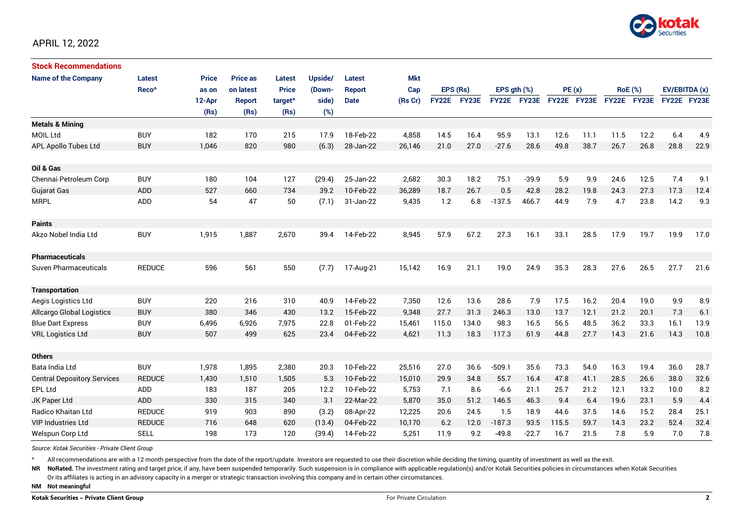

# APRIL 12, 2022

| <b>Stock Recommendations</b>       |                   |              |                 |                     |         |               |            |              |       |                  |         |             |      |                |       |               |      |
|------------------------------------|-------------------|--------------|-----------------|---------------------|---------|---------------|------------|--------------|-------|------------------|---------|-------------|------|----------------|-------|---------------|------|
| <b>Name of the Company</b>         | <b>Latest</b>     | <b>Price</b> | <b>Price as</b> | <b>Latest</b>       | Upside/ | Latest        | <b>Mkt</b> |              |       |                  |         |             |      |                |       |               |      |
|                                    | Reco <sup>^</sup> | as on        | on latest       | <b>Price</b>        | (Down-  | <b>Report</b> | Cap        | EPS (Rs)     |       | EPS $qth$ $(\%)$ |         | PE(x)       |      | <b>RoE</b> (%) |       | EV/EBITDA (x) |      |
|                                    |                   | 12-Apr       | <b>Report</b>   | target <sup>^</sup> | side)   | <b>Date</b>   | (Rs Cr)    | <b>FY22E</b> | FY23E | <b>FY22E</b>     | FY23E   | FY22E FY23E |      | <b>FY22E</b>   | FY23E | FY22E FY23E   |      |
|                                    |                   | (Rs)         | (Rs)            | (Rs)                | (%)     |               |            |              |       |                  |         |             |      |                |       |               |      |
| <b>Metals &amp; Mining</b>         |                   |              |                 |                     |         |               |            |              |       |                  |         |             |      |                |       |               |      |
| <b>MOIL Ltd</b>                    | <b>BUY</b>        | 182          | 170             | 215                 | 17.9    | 18-Feb-22     | 4,858      | 14.5         | 16.4  | 95.9             | 13.1    | 12.6        | 11.1 | 11.5           | 12.2  | 6.4           | 4.9  |
| APL Apollo Tubes Ltd               | <b>BUY</b>        | 1,046        | 820             | 980                 | (6.3)   | 28-Jan-22     | 26,146     | 21.0         | 27.0  | $-27.6$          | 28.6    | 49.8        | 38.7 | 26.7           | 26.8  | 28.8          | 22.9 |
|                                    |                   |              |                 |                     |         |               |            |              |       |                  |         |             |      |                |       |               |      |
| Oil & Gas                          |                   |              |                 |                     |         |               |            |              |       |                  |         |             |      |                |       |               |      |
| Chennai Petroleum Corp             | <b>BUY</b>        | 180          | 104             | 127                 | (29.4)  | 25-Jan-22     | 2,682      | 30.3         | 18.2  | 75.1             | $-39.9$ | 5.9         | 9.9  | 24.6           | 12.5  | 7.4           | 9.1  |
| <b>Gujarat Gas</b>                 | ADD               | 527          | 660             | 734                 | 39.2    | 10-Feb-22     | 36,289     | 18.7         | 26.7  | 0.5              | 42.8    | 28.2        | 19.8 | 24.3           | 27.3  | 17.3          | 12.4 |
| <b>MRPL</b>                        | ADD               | 54           | 47              | 50                  | (7.1)   | 31-Jan-22     | 9,435      | 1.2          | 6.8   | $-137.5$         | 466.7   | 44.9        | 7.9  | 4.7            | 23.8  | 14.2          | 9.3  |
|                                    |                   |              |                 |                     |         |               |            |              |       |                  |         |             |      |                |       |               |      |
| <b>Paints</b>                      |                   |              |                 |                     |         |               |            |              |       |                  |         |             |      |                |       |               |      |
| Akzo Nobel India Ltd               | <b>BUY</b>        | 1,915        | 1,887           | 2,670               | 39.4    | 14-Feb-22     | 8,945      | 57.9         | 67.2  | 27.3             | 16.1    | 33.1        | 28.5 | 17.9           | 19.7  | 19.9          | 17.0 |
|                                    |                   |              |                 |                     |         |               |            |              |       |                  |         |             |      |                |       |               |      |
| <b>Pharmaceuticals</b>             |                   |              |                 |                     |         |               |            |              |       |                  |         |             |      |                |       |               |      |
| Suven Pharmaceuticals              | <b>REDUCE</b>     | 596          | 561             | 550                 | (7.7)   | 17-Aug-21     | 15,142     | 16.9         | 21.1  | 19.0             | 24.9    | 35.3        | 28.3 | 27.6           | 26.5  | 27.7          | 21.6 |
|                                    |                   |              |                 |                     |         |               |            |              |       |                  |         |             |      |                |       |               |      |
| <b>Transportation</b>              |                   |              |                 |                     |         |               |            |              |       |                  |         |             |      |                |       |               |      |
| Aegis Logistics Ltd                | <b>BUY</b>        | 220          | 216             | 310                 | 40.9    | 14-Feb-22     | 7,350      | 12.6         | 13.6  | 28.6             | 7.9     | 17.5        | 16.2 | 20.4           | 19.0  | 9.9           | 8.9  |
| <b>Allcargo Global Logistics</b>   | <b>BUY</b>        | 380          | 346             | 430                 | 13.2    | 15-Feb-22     | 9,348      | 27.7         | 31.3  | 246.3            | 13.0    | 13.7        | 12.1 | 21.2           | 20.1  | 7.3           | 6.1  |
| <b>Blue Dart Express</b>           | <b>BUY</b>        | 6,496        | 6,926           | 7,975               | 22.8    | 01-Feb-22     | 15,461     | 115.0        | 134.0 | 98.3             | 16.5    | 56.5        | 48.5 | 36.2           | 33.3  | 16.1          | 13.9 |
| <b>VRL Logistics Ltd</b>           | <b>BUY</b>        | 507          | 499             | 625                 | 23.4    | 04-Feb-22     | 4,621      | 11.3         | 18.3  | 117.3            | 61.9    | 44.8        | 27.7 | 14.3           | 21.6  | 14.3          | 10.8 |
|                                    |                   |              |                 |                     |         |               |            |              |       |                  |         |             |      |                |       |               |      |
| <b>Others</b>                      |                   |              |                 |                     |         |               |            |              |       |                  |         |             |      |                |       |               |      |
| Bata India Ltd                     | <b>BUY</b>        | 1,978        | 1,895           | 2,380               | 20.3    | 10-Feb-22     | 25,516     | 27.0         | 36.6  | $-509.1$         | 35.6    | 73.3        | 54.0 | 16.3           | 19.4  | 36.0          | 28.7 |
| <b>Central Depository Services</b> | <b>REDUCE</b>     | 1,430        | 1,510           | 1,505               | 5.3     | 10-Feb-22     | 15,010     | 29.9         | 34.8  | 55.7             | 16.4    | 47.8        | 41.1 | 28.5           | 26.6  | 38.0          | 32.6 |
| <b>EPL Ltd</b>                     | ADD               | 183          | 187             | 205                 | 12.2    | 10-Feb-22     | 5,753      | 7.1          | 8.6   | $-6.6$           | 21.1    | 25.7        | 21.2 | 12.1           | 13.2  | 10.0          | 8.2  |
| JK Paper Ltd                       | ADD               | 330          | 315             | 340                 | 3.1     | 22-Mar-22     | 5,870      | 35.0         | 51.2  | 146.5            | 46.3    | 9.4         | 6.4  | 19.6           | 23.1  | 5.9           | 4.4  |
| Radico Khaitan Ltd                 | <b>REDUCE</b>     | 919          | 903             | 890                 | (3.2)   | 08-Apr-22     | 12,225     | 20.6         | 24.5  | 1.5              | 18.9    | 44.6        | 37.5 | 14.6           | 15.2  | 28.4          | 25.1 |
| <b>VIP Industries Ltd</b>          | <b>REDUCE</b>     | 716          | 648             | 620                 | (13.4)  | 04-Feb-22     | 10,170     | 6.2          | 12.0  | $-187.3$         | 93.5    | 115.5       | 59.7 | 14.3           | 23.2  | 52.4          | 32.4 |
| Welspun Corp Ltd                   | <b>SELL</b>       | 198          | 173             | 120                 | (39.4)  | 14-Feb-22     | 5,251      | 11.9         | 9.2   | $-49.8$          | $-22.7$ | 16.7        | 21.5 | 7.8            | 5.9   | 7.0           | 7.8  |

*Source: Kotak Securities - Private Client Group*

All recommendations are with a 12 month perspective from the date of the report/update. Investors are requested to use their discretion while deciding the timing, quantity of investment as well as the exit.

NR NoRated. The investment rating and target price, if any, have been suspended temporarily. Such suspension is in compliance with applicable regulation(s) and/or Kotak Securities policies in circumstances when Kotak Secur

Or its affiliates is acting in an advisory capacity in a merger or strategic transaction involving this company and in certain other circumstances.

**NM Not meaningful**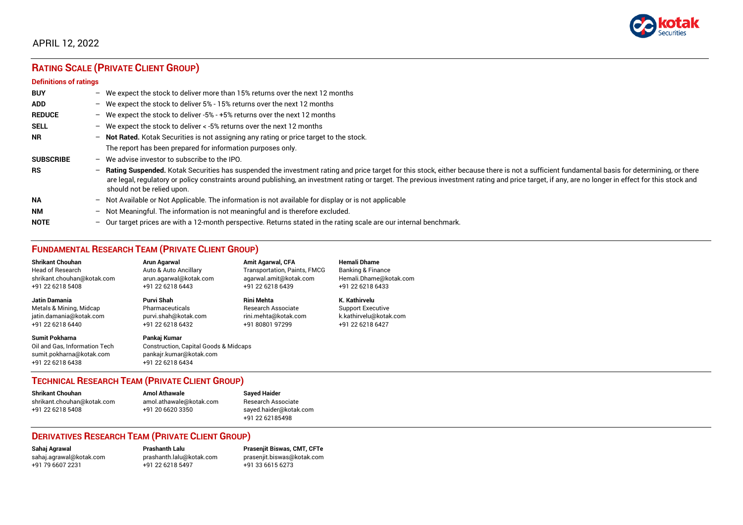

# APRIL 12, 2022

# **RATING SCALE (PRIVATE CLIENT GROUP)**

#### **Definitions of ratings**

| <b>BUY</b>       | $-$ | We expect the stock to deliver more than 15% returns over the next 12 months                                                                                                                                                                                                                                                                                                                                                     |
|------------------|-----|----------------------------------------------------------------------------------------------------------------------------------------------------------------------------------------------------------------------------------------------------------------------------------------------------------------------------------------------------------------------------------------------------------------------------------|
| <b>ADD</b>       |     | - We expect the stock to deliver $5\%$ - 15% returns over the next 12 months                                                                                                                                                                                                                                                                                                                                                     |
| <b>REDUCE</b>    |     | - We expect the stock to deliver -5% - +5% returns over the next 12 months                                                                                                                                                                                                                                                                                                                                                       |
| <b>SELL</b>      |     | - We expect the stock to deliver $\lt$ -5% returns over the next 12 months                                                                                                                                                                                                                                                                                                                                                       |
| <b>NR</b>        |     | - Not Rated. Kotak Securities is not assigning any rating or price target to the stock.                                                                                                                                                                                                                                                                                                                                          |
|                  |     | The report has been prepared for information purposes only.                                                                                                                                                                                                                                                                                                                                                                      |
| <b>SUBSCRIBE</b> | $-$ | We advise investor to subscribe to the IPO.                                                                                                                                                                                                                                                                                                                                                                                      |
| <b>RS</b>        | $-$ | Rating Suspended. Kotak Securities has suspended the investment rating and price target for this stock, either because there is not a sufficient fundamental basis for determining, or there<br>are legal, regulatory or policy constraints around publishing, an investment rating or target. The previous investment rating and price target, if any, are no longer in effect for this stock and<br>should not be relied upon. |
| <b>NA</b>        |     | $-$ Not Available or Not Applicable. The information is not available for display or is not applicable                                                                                                                                                                                                                                                                                                                           |
| <b>NM</b>        |     | - Not Meaningful. The information is not meaningful and is therefore excluded.                                                                                                                                                                                                                                                                                                                                                   |
| <b>NOTE</b>      | $-$ | Our target prices are with a 12-month perspective. Returns stated in the rating scale are our internal benchmark.                                                                                                                                                                                                                                                                                                                |

# **FUNDAMENTAL RESEARCH TEAM (PRIVATE CLIENT GROUP)**

| <b>Shrikant Chouhan</b>                                                                                | <b>Arun Agarwal</b>                                                                                  | <b>Amit Agarwal, CFA</b>            | <b>Hemali Dhame</b>      |
|--------------------------------------------------------------------------------------------------------|------------------------------------------------------------------------------------------------------|-------------------------------------|--------------------------|
| <b>Head of Research</b>                                                                                | Auto & Auto Ancillary                                                                                | <b>Transportation, Paints, FMCG</b> | Banking & Finance        |
| shrikant.chouhan@kotak.com                                                                             | arun.agarwal@kotak.com                                                                               | agarwal.amit@kotak.com              | Hemali.Dhame@kotak.com   |
| +91 22 6218 5408                                                                                       | +91 22 6218 6443                                                                                     | +91 22 6218 6439                    | +91 22 6218 6433         |
| <b>Jatin Damania</b>                                                                                   | Purvi Shah                                                                                           | <b>Rini Mehta</b>                   | K. Kathirvelu            |
| Metals & Mining, Midcap                                                                                | Pharmaceuticals                                                                                      | <b>Research Associate</b>           | <b>Support Executive</b> |
| jatin.damania@kotak.com                                                                                | purvi.shah@kotak.com                                                                                 | rini.mehta@kotak.com                | k.kathirvelu@kotak.com   |
| +91 22 6218 6440                                                                                       | +91 22 6218 6432                                                                                     | +91 80801 97299                     | +91 22 6218 6427         |
| <b>Sumit Pokharna</b><br>Oil and Gas, Information Tech<br>sumit.pokharna@kotak.com<br>+91 22 6218 6438 | Pankaj Kumar<br>Construction, Capital Goods & Midcaps<br>pankajr.kumar@kotak.com<br>+91 22 6218 6434 |                                     |                          |

#### **TECHNICAL RESEARCH TEAM (PRIVATE CLIENT GROUP)**

| <b>Shrikant Chouhan</b>    | <b>Amol Athawale</b>    |  |
|----------------------------|-------------------------|--|
| shrikant.chouhan@kotak.com | amol.athawale@kotak.com |  |
| +91 22 6218 5408           | +91 20 6620 3350        |  |
|                            |                         |  |

**Sayed Haider** Research Associate [sayed.haider@kotak.com](mailto:sayed.haider@kotak.com) +91 22 62185498

#### **DERIVATIVES RESEARCH TEAM (PRIVATE CLIENT GROUP)**

+91 22 6218 5497 +91 33 6615 6273

**Sahaj Agrawal Prashanth Lalu Prasenjit Biswas, CMT, CFTe** [sahaj.agrawal@kotak.com](mailto:sahaj.agrawal@kotak.com) [prashanth.lalu@kotak.com](mailto:prashanth.lalu@kotak.com) [prasenjit.biswas@kotak.com](mailto:prasenjit.biswas@kotak.com)